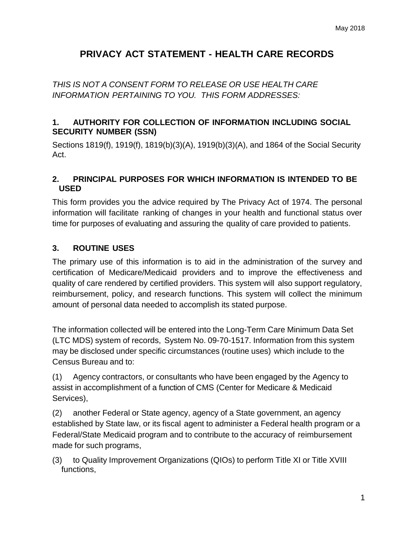# **PRIVACY ACT STATEMENT - HEALTH CARE RECORDS**

*THIS IS NOT A CONSENT FORM TO RELEASE OR USE HEALTH CARE INFORMATION PERTAINING TO YOU. THIS FORM ADDRESSES:*

### **1. AUTHORITY FOR COLLECTION OF INFORMATION INCLUDING SOCIAL SECURITY NUMBER (SSN)**

Sections 1819(f), 1919(f), 1819(b)(3)(A), 1919(b)(3)(A), and 1864 of the Social Security Act.

#### **2. PRINCIPAL PURPOSES FOR WHICH INFORMATION IS INTENDED TO BE USED**

This form provides you the advice required by The Privacy Act of 1974. The personal information will facilitate ranking of changes in your health and functional status over time for purposes of evaluating and assuring the quality of care provided to patients.

## **3. ROUTINE USES**

The primary use of this information is to aid in the administration of the survey and certification of Medicare/Medicaid providers and to improve the effectiveness and quality of care rendered by certified providers. This system will also support regulatory, reimbursement, policy, and research functions. This system will collect the minimum amount of personal data needed to accomplish its stated purpose.

The information collected will be entered into the Long-Term Care Minimum Data Set (LTC MDS) system of records, System No. 09-70-1517. Information from this system may be disclosed under specific circumstances (routine uses) which include to the Census Bureau and to:

(1) Agency contractors, or consultants who have been engaged by the Agency to assist in accomplishment of a function of CMS (Center for Medicare & Medicaid Services),

(2) another Federal or State agency, agency of a State government, an agency established by State law, or its fiscal agent to administer a Federal health program or a Federal/State Medicaid program and to contribute to the accuracy of reimbursement made for such programs,

(3) to Quality Improvement Organizations (QIOs) to perform Title XI or Title XVIII functions,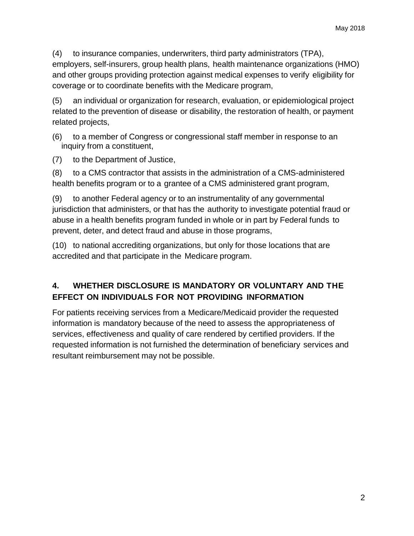(4) to insurance companies, underwriters, third party administrators (TPA), employers, self-insurers, group health plans, health maintenance organizations (HMO) and other groups providing protection against medical expenses to verify eligibility for coverage or to coordinate benefits with the Medicare program,

(5) an individual or organization for research, evaluation, or epidemiological project related to the prevention of disease or disability, the restoration of health, or payment related projects,

(6) to a member of Congress or congressional staff member in response to an inquiry from a constituent,

(7) to the Department of Justice,

(8) to a CMS contractor that assists in the administration of a CMS-administered health benefits program or to a grantee of a CMS administered grant program,

(9) to another Federal agency or to an instrumentality of any governmental jurisdiction that administers, or that has the authority to investigate potential fraud or abuse in a health benefits program funded in whole or in part by Federal funds to prevent, deter, and detect fraud and abuse in those programs,

(10) to national accrediting organizations, but only for those locations that are accredited and that participate in the Medicare program.

# **4. WHETHER DISCLOSURE IS MANDATORY OR VOLUNTARY AND THE EFFECT ON INDIVIDUALS FOR NOT PROVIDING INFORMATION**

For patients receiving services from a Medicare/Medicaid provider the requested information is mandatory because of the need to assess the appropriateness of services, effectiveness and quality of care rendered by certified providers. If the requested information is not furnished the determination of beneficiary services and resultant reimbursement may not be possible.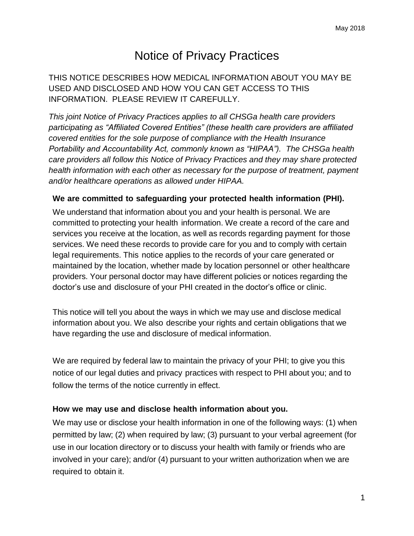# Notice of Privacy Practices

THIS NOTICE DESCRIBES HOW MEDICAL INFORMATION ABOUT YOU MAY BE USED AND DISCLOSED AND HOW YOU CAN GET ACCESS TO THIS INFORMATION. PLEASE REVIEW IT CAREFULLY.

*This joint Notice of Privacy Practices applies to all CHSGa health care providers participating as "Affiliated Covered Entities" (these health care providers are affiliated covered entities for the sole purpose of compliance with the Health Insurance Portability and Accountability Act, commonly known as "HIPAA"). The CHSGa health care providers all follow this Notice of Privacy Practices and they may share protected health information with each other as necessary for the purpose of treatment, payment and/or healthcare operations as allowed under HIPAA.*

#### **We are committed to safeguarding your protected health information (PHI).**

We understand that information about you and your health is personal. We are committed to protecting your health information. We create a record of the care and services you receive at the location, as well as records regarding payment for those services. We need these records to provide care for you and to comply with certain legal requirements. This notice applies to the records of your care generated or maintained by the location, whether made by location personnel or other healthcare providers. Your personal doctor may have different policies or notices regarding the doctor's use and disclosure of your PHI created in the doctor's office or clinic.

This notice will tell you about the ways in which we may use and disclose medical information about you. We also describe your rights and certain obligations that we have regarding the use and disclosure of medical information.

We are required by federal law to maintain the privacy of your PHI; to give you this notice of our legal duties and privacy practices with respect to PHI about you; and to follow the terms of the notice currently in effect.

#### **How we may use and disclose health information about you.**

We may use or disclose your health information in one of the following ways: (1) when permitted by law; (2) when required by law; (3) pursuant to your verbal agreement (for use in our location directory or to discuss your health with family or friends who are involved in your care); and/or (4) pursuant to your written authorization when we are required to obtain it.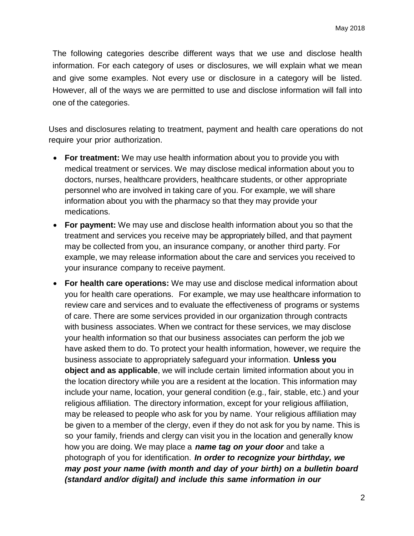The following categories describe different ways that we use and disclose health information. For each category of uses or disclosures, we will explain what we mean and give some examples. Not every use or disclosure in a category will be listed. However, all of the ways we are permitted to use and disclose information will fall into one of the categories.

Uses and disclosures relating to treatment, payment and health care operations do not require your prior authorization.

- **For treatment:** We may use health information about you to provide you with medical treatment or services. We may disclose medical information about you to doctors, nurses, healthcare providers, healthcare students, or other appropriate personnel who are involved in taking care of you. For example, we will share information about you with the pharmacy so that they may provide your medications.
- **For payment:** We may use and disclose health information about you so that the treatment and services you receive may be appropriately billed, and that payment may be collected from you, an insurance company, or another third party. For example, we may release information about the care and services you received to your insurance company to receive payment.
- **For health care operations:** We may use and disclose medical information about you for health care operations. For example, we may use healthcare information to review care and services and to evaluate the effectiveness of programs or systems of care. There are some services provided in our organization through contracts with business associates. When we contract for these services, we may disclose your health information so that our business associates can perform the job we have asked them to do. To protect your health information, however, we require the business associate to appropriately safeguard your information. **Unless you object and as applicable**, we will include certain limited information about you in the location directory while you are a resident at the location. This information may include your name, location, your general condition (e.g., fair, stable, etc.) and your religious affiliation. The directory information, except for your religious affiliation, may be released to people who ask for you by name. Your religious affiliation may be given to a member of the clergy, even if they do not ask for you by name. This is so your family, friends and clergy can visit you in the location and generally know how you are doing. We may place a *name tag on your door* and take a photograph of you for identification. *In order to recognize your birthday, we may post your name (with month and day of your birth) on a bulletin board (standard and/or digital) and include this same information in our*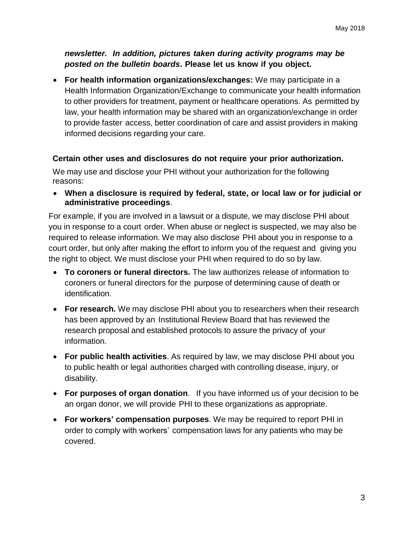*newsletter. In addition, pictures taken during activity programs may be posted on the bulletin boards***. Please let us know if you object.**

 **For health information organizations/exchanges:** We may participate in a Health Information Organization/Exchange to communicate your health information to other providers for treatment, payment or healthcare operations. As permitted by law, your health information may be shared with an organization/exchange in order to provide faster access, better coordination of care and assist providers in making informed decisions regarding your care.

#### **Certain other uses and disclosures do not require your prior authorization.**

We may use and disclose your PHI without your authorization for the following reasons:

 **When a disclosure is required by federal, state, or local law or for judicial or administrative proceedings**.

For example, if you are involved in a lawsuit or a dispute, we may disclose PHI about you in response to a court order. When abuse or neglect is suspected, we may also be required to release information. We may also disclose PHI about you in response to a court order, but only after making the effort to inform you of the request and giving you the right to object. We must disclose your PHI when required to do so by law.

- **To coroners or funeral directors.** The law authorizes release of information to coroners or funeral directors for the purpose of determining cause of death or identification.
- **For research.** We may disclose PHI about you to researchers when their research has been approved by an Institutional Review Board that has reviewed the research proposal and established protocols to assure the privacy of your information.
- **For public health activities**. As required by law, we may disclose PHI about you to public health or legal authorities charged with controlling disease, injury, or disability.
- **For purposes of organ donation**. If you have informed us of your decision to be an organ donor, we will provide PHI to these organizations as appropriate.
- **For workers' compensation purposes**. We may be required to report PHI in order to comply with workers' compensation laws for any patients who may be covered.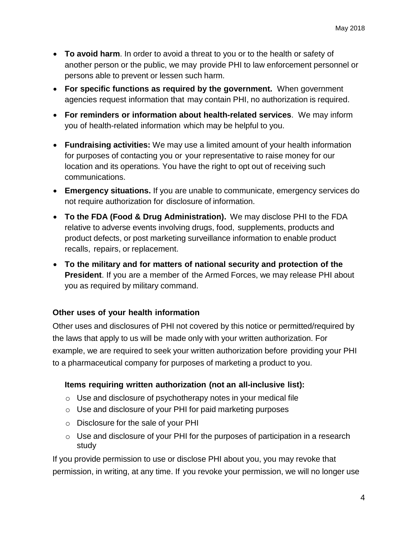- **To avoid harm**. In order to avoid a threat to you or to the health or safety of another person or the public, we may provide PHI to law enforcement personnel or persons able to prevent or lessen such harm.
- **For specific functions as required by the government.** When government agencies request information that may contain PHI, no authorization is required.
- **For reminders or information about health-related services**. We may inform you of health-related information which may be helpful to you.
- **Fundraising activities:** We may use a limited amount of your health information for purposes of contacting you or your representative to raise money for our location and its operations. You have the right to opt out of receiving such communications.
- **Emergency situations.** If you are unable to communicate, emergency services do not require authorization for disclosure of information.
- **To the FDA (Food & Drug Administration).** We may disclose PHI to the FDA relative to adverse events involving drugs, food, supplements, products and product defects, or post marketing surveillance information to enable product recalls, repairs, or replacement.
- **To the military and for matters of national security and protection of the President**. If you are a member of the Armed Forces, we may release PHI about you as required by military command.

#### **Other uses of your health information**

Other uses and disclosures of PHI not covered by this notice or permitted/required by the laws that apply to us will be made only with your written authorization. For example, we are required to seek your written authorization before providing your PHI to a pharmaceutical company for purposes of marketing a product to you.

#### **Items requiring written authorization (not an all-inclusive list):**

- o Use and disclosure of psychotherapy notes in your medical file
- o Use and disclosure of your PHI for paid marketing purposes
- o Disclosure for the sale of your PHI
- o Use and disclosure of your PHI for the purposes of participation in a research study

If you provide permission to use or disclose PHI about you, you may revoke that permission, in writing, at any time. If you revoke your permission, we will no longer use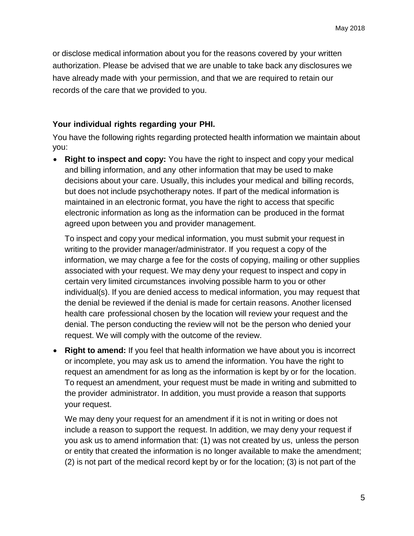or disclose medical information about you for the reasons covered by your written authorization. Please be advised that we are unable to take back any disclosures we have already made with your permission, and that we are required to retain our records of the care that we provided to you.

#### **Your individual rights regarding your PHI.**

You have the following rights regarding protected health information we maintain about you:

 **Right to inspect and copy:** You have the right to inspect and copy your medical and billing information, and any other information that may be used to make decisions about your care. Usually, this includes your medical and billing records, but does not include psychotherapy notes. If part of the medical information is maintained in an electronic format, you have the right to access that specific electronic information as long as the information can be produced in the format agreed upon between you and provider management.

To inspect and copy your medical information, you must submit your request in writing to the provider manager/administrator. If you request a copy of the information, we may charge a fee for the costs of copying, mailing or other supplies associated with your request. We may deny your request to inspect and copy in certain very limited circumstances involving possible harm to you or other individual(s). If you are denied access to medical information, you may request that the denial be reviewed if the denial is made for certain reasons. Another licensed health care professional chosen by the location will review your request and the denial. The person conducting the review will not be the person who denied your request. We will comply with the outcome of the review.

 **Right to amend:** If you feel that health information we have about you is incorrect or incomplete, you may ask us to amend the information. You have the right to request an amendment for as long as the information is kept by or for the location. To request an amendment, your request must be made in writing and submitted to the provider administrator. In addition, you must provide a reason that supports your request.

We may deny your request for an amendment if it is not in writing or does not include a reason to support the request. In addition, we may deny your request if you ask us to amend information that: (1) was not created by us, unless the person or entity that created the information is no longer available to make the amendment; (2) is not part of the medical record kept by or for the location; (3) is not part of the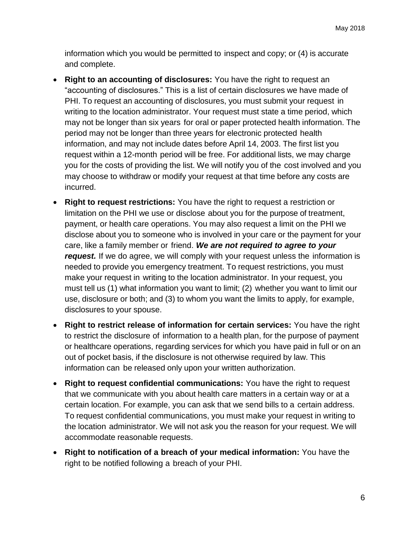information which you would be permitted to inspect and copy; or (4) is accurate and complete.

- **Right to an accounting of disclosures:** You have the right to request an "accounting of disclosures." This is a list of certain disclosures we have made of PHI. To request an accounting of disclosures, you must submit your request in writing to the location administrator. Your request must state a time period, which may not be longer than six years for oral or paper protected health information. The period may not be longer than three years for electronic protected health information, and may not include dates before April 14, 2003. The first list you request within a 12-month period will be free. For additional lists, we may charge you for the costs of providing the list. We will notify you of the cost involved and you may choose to withdraw or modify your request at that time before any costs are incurred.
- **Right to request restrictions:** You have the right to request a restriction or limitation on the PHI we use or disclose about you for the purpose of treatment, payment, or health care operations. You may also request a limit on the PHI we disclose about you to someone who is involved in your care or the payment for your care, like a family member or friend. *We are not required to agree to your request.* If we do agree, we will comply with your request unless the information is needed to provide you emergency treatment. To request restrictions, you must make your request in writing to the location administrator. In your request, you must tell us (1) what information you want to limit; (2) whether you want to limit our use, disclosure or both; and (3) to whom you want the limits to apply, for example, disclosures to your spouse.
- **Right to restrict release of information for certain services:** You have the right to restrict the disclosure of information to a health plan, for the purpose of payment or healthcare operations, regarding services for which you have paid in full or on an out of pocket basis, if the disclosure is not otherwise required by law. This information can be released only upon your written authorization.
- **Right to request confidential communications:** You have the right to request that we communicate with you about health care matters in a certain way or at a certain location. For example, you can ask that we send bills to a certain address. To request confidential communications, you must make your request in writing to the location administrator. We will not ask you the reason for your request. We will accommodate reasonable requests.
- **Right to notification of a breach of your medical information:** You have the right to be notified following a breach of your PHI.